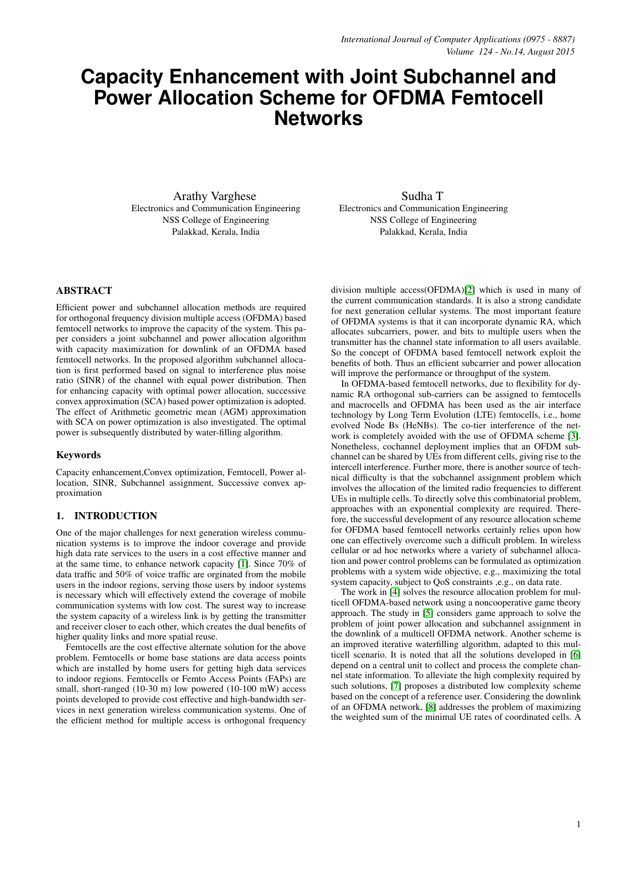# **Capacity Enhancement with Joint Subchannel and Power Allocation Scheme for OFDMA Femtocell Networks**

Arathy Varghese Electronics and Communication Engineering NSS College of Engineering Palakkad, Kerala, India

Sudha T Electronics and Communication Engineering NSS College of Engineering Palakkad, Kerala, India

# ABSTRACT

Efficient power and subchannel allocation methods are required for orthogonal frequency division multiple access (OFDMA) based femtocell networks to improve the capacity of the system. This paper considers a joint subchannel and power allocation algorithm with capacity maximization for downlink of an OFDMA based femtocell networks. In the proposed algorithm subchannel allocation is first performed based on signal to interference plus noise ratio (SINR) of the channel with equal power distribution. Then for enhancing capacity with optimal power allocation, successive convex approximation (SCA) based power optimization is adopted. The effect of Arithmetic geometric mean (AGM) approximation with SCA on power optimization is also investigated. The optimal power is subsequently distributed by water-filling algorithm.

#### Keywords

Capacity enhancement,Convex optimization, Femtocell, Power allocation, SINR, Subchannel assignment, Successive convex approximation

# 1. INTRODUCTION

One of the major challenges for next generation wireless communication systems is to improve the indoor coverage and provide high data rate services to the users in a cost effective manner and at the same time, to enhance network capacity [\[1\]](#page-5-0). Since 70% of data traffic and 50% of voice traffic are orginated from the mobile users in the indoor regions, serving those users by indoor systems is necessary which will effectively extend the coverage of mobile communication systems with low cost. The surest way to increase the system capacity of a wireless link is by getting the transmitter and receiver closer to each other, which creates the dual benefits of higher quality links and more spatial reuse.

Femtocells are the cost effective alternate solution for the above problem. Femtocells or home base stations are data access points which are installed by home users for getting high data services to indoor regions. Femtocells or Femto Access Points (FAPs) are small, short-ranged (10-30 m) low powered (10-100 mW) access points developed to provide cost effective and high-bandwidth services in next generation wireless communication systems. One of the efficient method for multiple access is orthogonal frequency

division multiple access(OFDMA)[\[2\]](#page-5-1) which is used in many of the current communication standards. It is also a strong candidate for next generation cellular systems. The most important feature of OFDMA systems is that it can incorporate dynamic RA, which allocates subcarriers, power, and bits to multiple users when the transmitter has the channel state information to all users available. So the concept of OFDMA based femtocell network exploit the benefits of both. Thus an efficient subcarrier and power allocation will improve the performance or throughput of the system.

In OFDMA-based femtocell networks, due to flexibility for dynamic RA orthogonal sub-carriers can be assigned to femtocells and macrocells and OFDMA has been used as the air interface technology by Long Term Evolution (LTE) femtocells, i.e., home evolved Node Bs (HeNBs). The co-tier interference of the network is completely avoided with the use of OFDMA scheme [\[3\]](#page-5-2). Nonetheless, cochannel deployment implies that an OFDM subchannel can be shared by UEs from different cells, giving rise to the intercell interference. Further more, there is another source of technical difficulty is that the subchannel assignment problem which involves the allocation of the limited radio frequencies to different UEs in multiple cells. To directly solve this combinatorial problem, approaches with an exponential complexity are required. Therefore, the successful development of any resource allocation scheme for OFDMA based femtocell networks certainly relies upon how one can effectively overcome such a difficult problem. In wireless cellular or ad hoc networks where a variety of subchannel allocation and power control problems can be formulated as optimization problems with a system wide objective, e.g., maximizing the total system capacity, subject to QoS constraints ,e.g., on data rate.

The work in [\[4\]](#page-5-3) solves the resource allocation problem for multicell OFDMA-based network using a noncooperative game theory approach. The study in [\[5\]](#page-5-4) considers game approach to solve the problem of joint power allocation and subchannel assignment in the downlink of a multicell OFDMA network. Another scheme is an improved iterative waterfilling algorithm, adapted to this multicell scenario. It is noted that all the solutions developed in [\[6\]](#page-5-5) depend on a central unit to collect and process the complete channel state information. To alleviate the high complexity required by such solutions, [\[7\]](#page-5-6) proposes a distributed low complexity scheme based on the concept of a reference user. Considering the downlink of an OFDMA network, [\[8\]](#page-5-7) addresses the problem of maximizing the weighted sum of the minimal UE rates of coordinated cells. A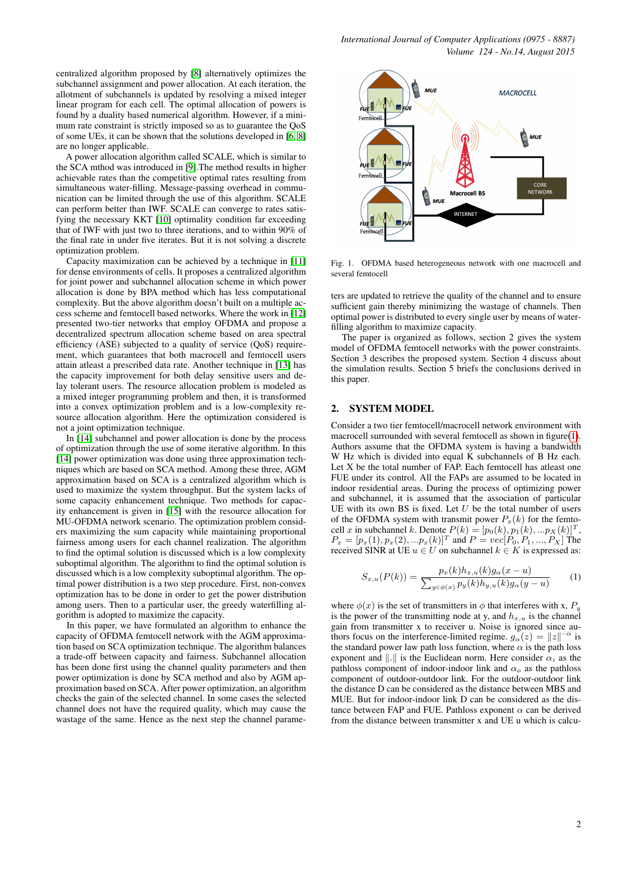centralized algorithm proposed by [\[8\]](#page-5-7) alternatively optimizes the subchannel assignment and power allocation. At each iteration, the allotment of subchannels is updated by resolving a mixed integer linear program for each cell. The optimal allocation of powers is found by a duality based numerical algorithm. However, if a minimum rate constraint is strictly imposed so as to guarantee the QoS of some UEs, it can be shown that the solutions developed in [\[6,](#page-5-5) [8\]](#page-5-7) are no longer applicable.

A power allocation algorithm called SCALE, which is similar to the SCA mthod was introduced in [\[9\]](#page-5-8).The method results in higher achievable rates than the competitive optimal rates resulting from simultaneous water-filling. Message-passing overhead in communication can be limited through the use of this algorithm. SCALE can perform better than IWF. SCALE can converge to rates satisfying the necessary KKT [\[10\]](#page-5-9) optimality condition far exceeding that of IWF with just two to three iterations, and to within 90% of the final rate in under five iterates. But it is not solving a discrete optimization problem.

Capacity maximization can be achieved by a technique in [\[11\]](#page-5-10) for dense environments of cells. It proposes a centralized algorithm for joint power and subchannel allocation scheme in which power allocation is done by BPA method which has less computational complexity. But the above algorithm doesn't built on a multiple access scheme and femtocell based networks. Where the work in [\[12\]](#page-5-11) presented two-tier networks that employ OFDMA and propose a decentralized spectrum allocation scheme based on area spectral efficiency (ASE) subjected to a quality of service (QoS) requirement, which guarantees that both macrocell and femtocell users attain atleast a prescribed data rate. Another technique in [\[13\]](#page-5-12) has the capacity improvement for both delay sensitive users and delay tolerant users. The resource allocation problem is modeled as a mixed integer programming problem and then, it is transformed into a convex optimization problem and is a low-complexity resource allocation algorithm. Here the optimization considered is not a joint optimization technique.

In [\[14\]](#page-5-13) subchannel and power allocation is done by the process of optimization through the use of some iterative algorithm. In this [\[14\]](#page-5-13) power optimization was done using three approximation techniques which are based on SCA method. Among these three, AGM approximation based on SCA is a centralized algorithm which is used to maximize the system throughput. But the system lacks of some capacity enhancement technique. Two methods for capacity enhancement is given in [\[15\]](#page-5-14) with the resource allocation for MU-OFDMA network scenario. The optimization problem considers maximizing the sum capacity while maintaining proportional fairness among users for each channel realization. The algorithm to find the optimal solution is discussed which is a low complexity suboptimal algorithm. The algorithm to find the optimal solution is discussed which is a low complexity suboptimal algorithm. The optimal power distribution is a two step procedure. First, non-convex optimization has to be done in order to get the power distribution among users. Then to a particular user, the greedy waterfilling algorithm is adopted to maximize the capacity.

In this paper, we have formulated an algorithm to enhance the capacity of OFDMA femtocell network with the AGM approximation based on SCA optimization technique. The algorithm balances a trade-off between capacity and fairness. Subchannel allocation has been done first using the channel quality parameters and then power optimization is done by SCA method and also by AGM approximation based on SCA. After power optimization, an algorithm checks the gain of the selected channel. In some cases the selected channel does not have the required quality, which may cause the wastage of the same. Hence as the next step the channel parame-



<span id="page-1-0"></span>Fig. 1. OFDMA based heterogeneous network with one macrocell and several femtocell

ters are updated to retrieve the quality of the channel and to ensure sufficient gain thereby minimizing the wastage of channels. Then optimal power is distributed to every single user by means of waterfilling algorithm to maximize capacity.

The paper is organized as follows, section 2 gives the system model of OFDMA femtocell networks with the power constraints. Section 3 describes the proposed system. Section 4 discuss about the simulation results. Section 5 briefs the conclusions derived in this paper.

# 2. SYSTEM MODEL

Consider a two tier femtocell/macrocell network environment with macrocell surrounded with several femtocell as shown in figure[\(1\)](#page-1-0). Authors assume that the OFDMA system is having a bandwidth W Hz which is divided into equal K subchannels of B Hz each. Let X be the total number of FAP. Each femtocell has atleast one FUE under its control. All the FAPs are assumed to be located in indoor residential areas. During the process of optimizing power and subchannel, it is assumed that the association of particular UE with its own BS is fixed. Let  $U$  be the total number of users of the OFDMA system with transmit power  $P_x(k)$  for the femtocell x in subchannel k. Denote  $P(k) = [p_0(k), p_1(k), ... p_X(k)]^T$ ,  $P_x = [p_x(1), p_x(2), ... p_x(k)]^T$  and  $P = vec[P_0, P_1, ..., P_X]$  The received SINR at UE  $u \in U$  on subchannel  $k \in K$  is expressed as:

$$
S_{x,u}(P(k)) = \frac{p_x(k)h_{x,u}(k)g_\alpha(x-u)}{\sum_{y \in \phi(x)} p_y(k)h_{y,u}(k)g_\alpha(y-u)} \tag{1}
$$

where  $\phi(x)$  is the set of transmitters in  $\phi$  that interferes with x,  $P_i$ is the power of the transmitting node at y, and  $h_{x,u}$  is the channel gain from transmitter x to receiver u. Noise is ignored since authors focus on the interference-limited regime.  $g_{\alpha}(z) = ||z||^{-\alpha}$  is the standard power law path loss function, where  $\alpha$  is the path loss exponent and  $\Vert . \Vert$  is the Euclidean norm. Here consider  $\alpha_i$  as the pathloss component of indoor-indoor link and  $\alpha_o$  as the pathloss component of outdoor-outdoor link. For the outdoor-outdoor link the distance D can be considered as the distance between MBS and MUE. But for indoor-indoor link D can be considered as the distance between FAP and FUE. Pathloss exponent  $\alpha$  can be derived from the distance between transmitter x and UE u which is calcu-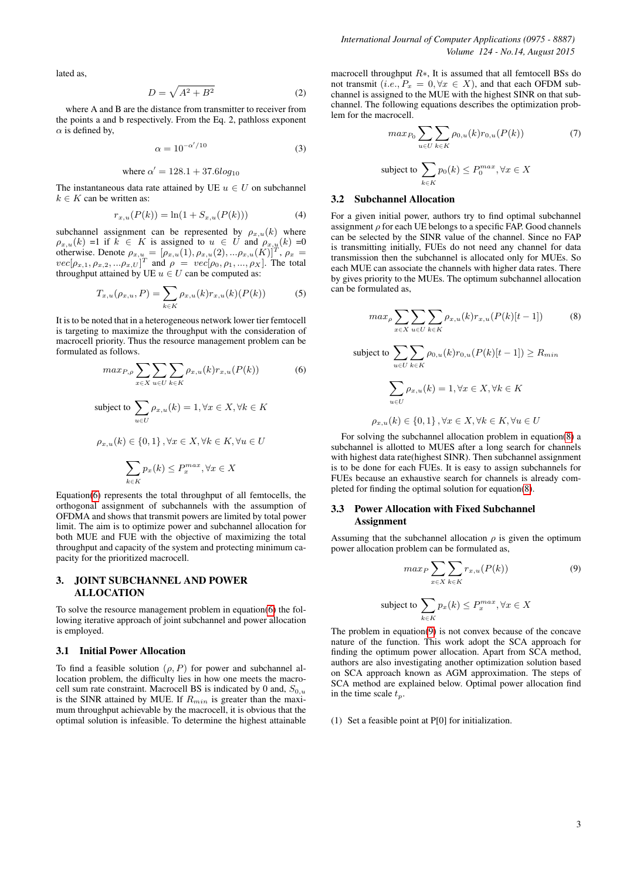$$
D = \sqrt{A^2 + B^2} \tag{2}
$$

where A and B are the distance from transmitter to receiver from the points a and b respectively. From the Eq. 2, pathloss exponent  $\alpha$  is defined by,

<span id="page-2-3"></span>
$$
\alpha = 10^{-\alpha'/10} \tag{3}
$$

where 
$$
\alpha' = 128.1 + 37.6 \log_{10} i
$$

The instantaneous data rate attained by UE  $u \in U$  on subchannel  $k \in K$  can be written as:

$$
r_{x,u}(P(k)) = \ln(1 + S_{x,u}(P(k)))
$$
\n(4)

subchannel assignment can be represented by  $\rho_{x,u}(k)$  where  $\rho_{x,u}(k) =1$  if  $k \in K$  is assigned to  $u \in U$  and  $\rho_{x,u}(k) =0$ otherwise. Denote  $\rho_{x,u} = [\rho_{x,u}(1), \rho_{x,u}(2),...\rho_{x,u}(K)]^T$ ,  $\rho_x =$  $vec[\rho_{x,1}, \rho_{x,2}, ... \rho_{x,U}]^T$  and  $\rho = vec[\rho_0, \rho_1, ..., \rho_X]$ . The total throughput attained by UE  $u \in U$  can be computed as:

$$
T_{x,u}(\rho_{x,u}, P) = \sum_{k \in K} \rho_{x,u}(k) r_{x,u}(k) (P(k))
$$
 (5)

It is to be noted that in a heterogeneous network lower tier femtocell is targeting to maximize the throughput with the consideration of macrocell priority. Thus the resource management problem can be formulated as follows.

<span id="page-2-0"></span>
$$
max_{P,\rho} \sum_{x \in X} \sum_{u \in U} \sum_{k \in K} \rho_{x,u}(k) r_{x,u}(P(k)) \tag{6}
$$

subject to 
$$
\sum_{u \in U} \rho_{x,u}(k) = 1, \forall x \in X, \forall k \in K
$$

$$
\rho_{x,u}(k) \in \{0, 1\}, \forall x \in X, \forall k \in K, \forall u \in U
$$

$$
\sum_{k \in K} p_x(k) \le P_x^{max}, \forall x \in X
$$

Equation[\(6\)](#page-2-0) represents the total throughput of all femtocells, the orthogonal assignment of subchannels with the assumption of OFDMA and shows that transmit powers are limited by total power limit. The aim is to optimize power and subchannel allocation for both MUE and FUE with the objective of maximizing the total throughput and capacity of the system and protecting minimum capacity for the prioritized macrocell.

# 3. JOINT SUBCHANNEL AND POWER ALLOCATION

To solve the resource management problem in equation[\(6\)](#page-2-0) the following iterative approach of joint subchannel and power allocation is employed.

### 3.1 Initial Power Allocation

To find a feasible solution  $(\rho, P)$  for power and subchannel allocation problem, the difficulty lies in how one meets the macrocell sum rate constraint. Macrocell BS is indicated by 0 and,  $S_{0,u}$ is the SINR attained by MUE. If  $R_{min}$  is greater than the maximum throughput achievable by the macrocell, it is obvious that the optimal solution is infeasible. To determine the highest attainable

macrocell throughput  $R<sub>*</sub>$ , It is assumed that all femtocell BSs do not transmit (i.e.,  $P_x = 0, \forall x \in X$ ), and that each OFDM subchannel is assigned to the MUE with the highest SINR on that subchannel. The following equations describes the optimization problem for the macrocell.

$$
max_{P_0} \sum_{u \in U} \sum_{k \in K} \rho_{0,u}(k) r_{0,u}(P(k))
$$
\nsubject to

\n
$$
\sum p_0(k) \leq P_0^{max}, \forall x \in X
$$

# k∈K

# 3.2 Subchannel Allocation

For a given initial power, authors try to find optimal subchannel assignment  $\rho$  for each UE belongs to a specific FAP. Good channels can be selected by the SINR value of the channel. Since no FAP is transmitting initially, FUEs do not need any channel for data transmission then the subchannel is allocated only for MUEs. So each MUE can associate the channels with higher data rates. There by gives priority to the MUEs. The optimum subchannel allocation can be formulated as,

<span id="page-2-1"></span>
$$
max_{\rho} \sum_{x \in X} \sum_{u \in U} \sum_{k \in K} \rho_{x,u}(k) r_{x,u}(P(k)[t-1]) \tag{8}
$$

subject to 
$$
\sum_{u \in U} \sum_{k \in K} \rho_{0,u}(k) r_{0,u}(P(k)[t-1]) \ge R_{min}
$$

$$
\sum_{u \in U} \rho_{x,u}(k) = 1, \forall x \in X, \forall k \in K
$$

$$
\rho_{x,u}(k) \in \{0,1\}, \forall x \in X, \forall k \in K, \forall u \in U
$$

For solving the subchannel allocation problem in equation[\(8\)](#page-2-1) a subchannel is allotted to MUES after a long search for channels with highest data rate(highest SINR). Then subchannel assignment is to be done for each FUEs. It is easy to assign subchannels for FUEs because an exhaustive search for channels is already completed for finding the optimal solution for equation[\(8\)](#page-2-1).

# 3.3 Power Allocation with Fixed Subchannel **Assignment**

Assuming that the subchannel allocation  $\rho$  is given the optimum power allocation problem can be formulated as,

<span id="page-2-2"></span>
$$
\max_{P} \sum_{x \in X} \sum_{k \in K} r_{x,u}(P(k))
$$
\n
$$
\text{etc to } \sum_{k \in K} p_x(k) \le P_x^{\max}, \forall x \in X
$$
\n
$$
\text{(9)}
$$

The problem in equation[\(9\)](#page-2-2) is not convex because of the concave nature of the function. This work adopt the SCA approach for finding the optimum power allocation. Apart from SCA method, authors are also investigating another optimization solution based on SCA approach known as AGM approximation. The steps of SCA method are explained below. Optimal power allocation find in the time scale  $t_p$ .

(1) Set a feasible point at P[0] for initialization.

subi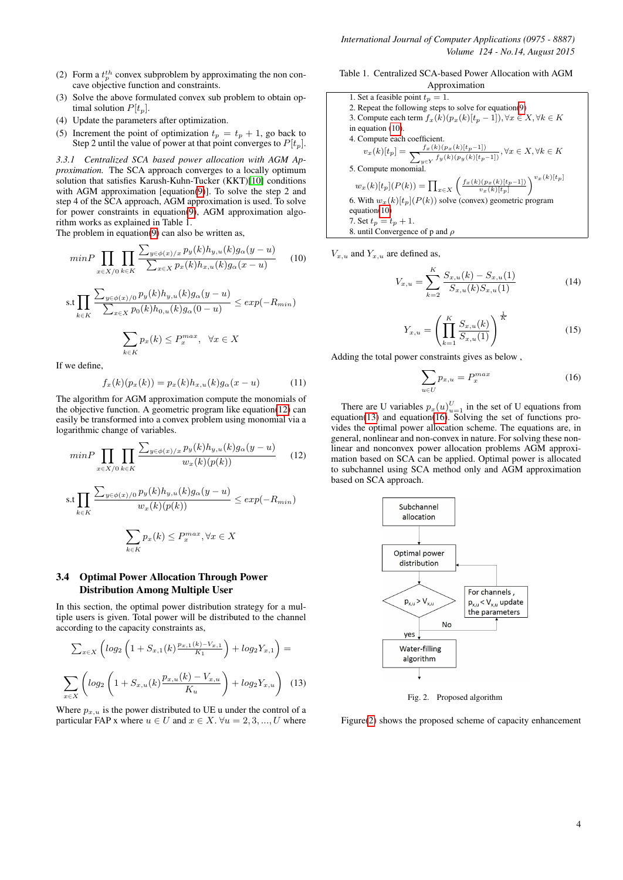- (2) Form a  $t_p^{th}$  convex subproblem by approximating the non concave objective function and constraints.
- (3) Solve the above formulated convex sub problem to obtain optimal solution  $P[t_p]$ .
- (4) Update the parameters after optimization.
- (5) Increment the point of optimization  $t_p = t_p + 1$ , go back to Step 2 until the value of power at that point converges to  $P[t_p]$ .

*3.3.1 Centralized SCA based power allocation with AGM Approximation.* The SCA approach converges to a locally optimum solution that satisfies Karush-Kuhn-Tucker (KKT)[\[10\]](#page-5-9) conditions with AGM approximation [equation[\(9\)](#page-2-2)]. To solve the step 2 and step 4 of the SCA approach, AGM approximation is used. To solve for power constraints in equation( $9$ ), AGM approximation algorithm works as explained in Table 1.

The problem in equation[\(9\)](#page-2-2) can also be written as,

 $k \in K$ 

<span id="page-3-1"></span>
$$
minP \prod_{x \in X/0} \prod_{k \in K} \frac{\sum_{y \in \phi(x)/x} p_y(k) h_{y,u}(k) g_\alpha(y-u)}{\sum_{x \in X} p_x(k) h_{x,u}(k) g_\alpha(x-u)} \qquad (10)
$$
  
s.t 
$$
\prod_{k \in K} \frac{\sum_{y \in \phi(x)/0} p_y(k) h_{y,u}(k) g_\alpha(y-u)}{\sum_{x \in X} p_0(k) h_{0,u}(k) g_\alpha(0-u)} \le exp(-R_{min})
$$

$$
\sum p_x(k) \le P_x^{max}, \quad \forall x \in X
$$

If we define,

$$
f_x(k)(p_x(k)) = p_x(k)h_{x,u}(k)g_{\alpha}(x-u)
$$
 (11)

The algorithm for AGM approximation compute the monomials of the objective function. A geometric program like equation[\(12\)](#page-3-0) can easily be transformed into a convex problem using monomial via a logarithmic change of variables.

<span id="page-3-0"></span>
$$
minP \prod_{x \in X/0} \prod_{k \in K} \frac{\sum_{y \in \phi(x)/x} p_y(k) h_{y,u}(k) g_\alpha(y-u)}{w_x(k)(p(k))}
$$
(12)  
s.t 
$$
\prod_{k \in K} \frac{\sum_{y \in \phi(x)/0} p_y(k) h_{y,u}(k) g_\alpha(y-u)}{w_x(k)(p(k))} \le exp(-R_{min})
$$

$$
\sum_{k \in K} p_x(k) \le P_x^{max}, \forall x \in X
$$

## 3.4 Optimal Power Allocation Through Power Distribution Among Multiple User

In this section, the optimal power distribution strategy for a multiple users is given. Total power will be distributed to the channel according to the capacity constraints as,

$$
\sum_{x \in X} \left( \log_2 \left( 1 + S_{x,1}(k) \frac{p_{x,1}(k) - V_{x,1}}{K_1} \right) + \log_2 Y_{x,1} \right) =
$$
  

$$
\sum_{x \in X} \left( \log_2 \left( 1 + S_{x,u}(k) \frac{p_{x,u}(k) - V_{x,u}}{K_u} \right) + \log_2 Y_{x,u} \right) \tag{13}
$$

<span id="page-3-2"></span>Where  $p_{x,u}$  is the power distributed to UE u under the control of a particular FAP x where  $u \in U$  and  $x \in X$ .  $\forall u = 2, 3, ..., U$  where

Table 1. Centralized SCA-based Power Allocation with AGM Approximation

\n- 1. Set a feasible point 
$$
t_p = 1
$$
.
\n- 2. Repeat the following steps to solve for equation(9)
\n- 3. Compute each term  $f_x(k)(p_x(k)[t_p - 1]), \forall x \in X, \forall k \in K$  in equation (10).
\n- 4. Compute each coefficient.
\n- $$
v_x(k)[t_p] = \frac{f_x(k)(p_x(k)[t_p - 1])}{\sum_{y \in Y} f_y(k)(p_y(k)[t_p - 1])}, \forall x \in X, \forall k \in K
$$
\n- 5. Compute monomial.
\n- $$
w_x(k)[t_p](P(k)) = \prod_{x \in X} \left( \frac{f_x(k)(p_x(k)[t_p - 1])}{v_x(k)[t_p]} \right)^{v_x(k)[t_p]}
$$
\n- 6. With  $w_x(k)[t_p](P(k))$  solve (convex) geometric program equation(10)
\n- 7. Set  $t_p = t_p + 1$ .
\n- 8. until Convergence of p and  $\rho$
\n

 $V_{x,u}$  and  $Y_{x,u}$  are defined as,

$$
V_{x,u} = \sum_{k=2}^{K} \frac{S_{x,u}(k) - S_{x,u}(1)}{S_{x,u}(k)S_{x,u}(1)}
$$
(14)

$$
Y_{x,u} = \left(\prod_{k=1}^{K} \frac{S_{x,u}(k)}{S_{x,u}(1)}\right)^{\frac{1}{K}}
$$
(15)

Adding the total power constraints gives as below ,

<span id="page-3-3"></span>
$$
\sum_{u \in U} p_{x,u} = P_x^{max} \tag{16}
$$

There are U variables  $p_x(u)_{u=1}^U$  in the set of U equations from equation[\(13\)](#page-3-2) and equation[\(16\)](#page-3-3). Solving the set of functions provides the optimal power allocation scheme. The equations are, in general, nonlinear and non-convex in nature. For solving these nonlinear and nonconvex power allocation problems AGM approximation based on SCA can be applied. Optimal power is allocated to subchannel using SCA method only and AGM approximation based on SCA approach.



<span id="page-3-4"></span>Fig. 2. Proposed algorithm

Figure[\(2\)](#page-3-4) shows the proposed scheme of capacity enhancement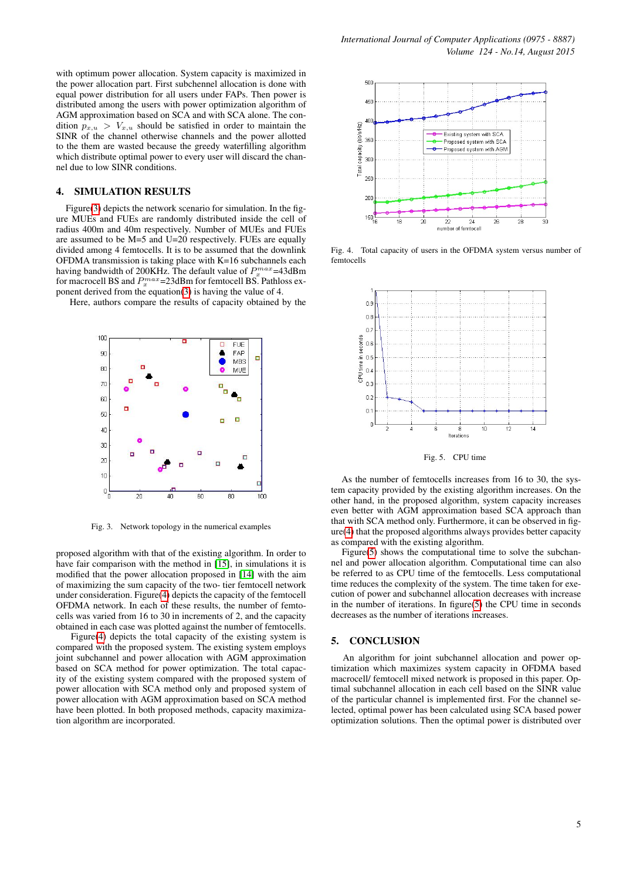with optimum power allocation. System capacity is maximized in the power allocation part. First subchennel allocation is done with equal power distribution for all users under FAPs. Then power is distributed among the users with power optimization algorithm of AGM approximation based on SCA and with SCA alone. The condition  $p_{x,u} > V_{x,u}$  should be satisfied in order to maintain the SINR of the channel otherwise channels and the power allotted to the them are wasted because the greedy waterfilling algorithm which distribute optimal power to every user will discard the channel due to low SINR conditions.

# 4. SIMULATION RESULTS

Figure[\(3\)](#page-4-0) depicts the network scenario for simulation. In the figure MUEs and FUEs are randomly distributed inside the cell of radius 400m and 40m respectively. Number of MUEs and FUEs are assumed to be M=5 and U=20 respectively. FUEs are equally divided among 4 femtocells. It is to be assumed that the downlink OFDMA transmission is taking place with K=16 subchannels each having bandwidth of 200KHz. The default value of  $P_x^{max}$ =43dBm for macrocell BS and  $P_x^{max}$ =23dBm for femtocell BS. Pathloss exponent derived from the equation[\(3\)](#page-2-3) is having the value of 4.

Here, authors compare the results of capacity obtained by the



<span id="page-4-0"></span>Fig. 3. Network topology in the numerical examples

proposed algorithm with that of the existing algorithm. In order to have fair comparison with the method in [\[15\]](#page-5-14), in simulations it is modified that the power allocation proposed in [\[14\]](#page-5-13) with the aim of maximizing the sum capacity of the two- tier femtocell network under consideration. Figure[\(4\)](#page-4-1) depicts the capacity of the femtocell OFDMA network. In each of these results, the number of femtocells was varied from 16 to 30 in increments of 2, and the capacity obtained in each case was plotted against the number of femtocells.

Figure[\(4\)](#page-4-1) depicts the total capacity of the existing system is compared with the proposed system. The existing system employs joint subchannel and power allocation with AGM approximation based on SCA method for power optimization. The total capacity of the existing system compared with the proposed system of power allocation with SCA method only and proposed system of power allocation with AGM approximation based on SCA method have been plotted. In both proposed methods, capacity maximization algorithm are incorporated.



<span id="page-4-1"></span>Fig. 4. Total capacity of users in the OFDMA system versus number of femtocells



<span id="page-4-2"></span>Fig. 5. CPU time

As the number of femtocells increases from 16 to 30, the system capacity provided by the existing algorithm increases. On the other hand, in the proposed algorithm, system capacity increases even better with AGM approximation based SCA approach than that with SCA method only. Furthermore, it can be observed in figure[\(4\)](#page-4-1) that the proposed algorithms always provides better capacity as compared with the existing algorithm.

Figure[\(5\)](#page-4-2) shows the computational time to solve the subchannel and power allocation algorithm. Computational time can also be referred to as CPU time of the femtocells. Less computational time reduces the complexity of the system. The time taken for execution of power and subchannel allocation decreases with increase in the number of iterations. In figure[\(5\)](#page-4-2) the CPU time in seconds decreases as the number of iterations increases.

#### 5. CONCLUSION

An algorithm for joint subchannel allocation and power optimization which maximizes system capacity in OFDMA based macrocell/ femtocell mixed network is proposed in this paper. Optimal subchannel allocation in each cell based on the SINR value of the particular channel is implemented first. For the channel selected, optimal power has been calculated using SCA based power optimization solutions. Then the optimal power is distributed over